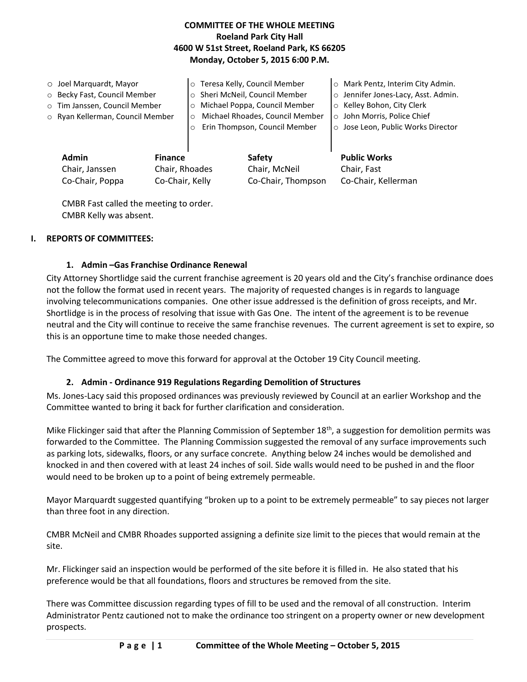## **COMMITTEE OF THE WHOLE MEETING Roeland Park City Hall 4600 W 51st Street, Roeland Park, KS 66205 Monday, October 5, 2015 6:00 P.M.**

| $\circ$ Joel Marquardt, Mayor<br>o Becky Fast, Council Member<br>o Tim Janssen, Council Member<br>o Ryan Kellerman, Council Member |  | o Teresa Kelly, Council Member<br>o Sheri McNeil, Council Member<br>Michael Poppa, Council Member<br>$\circ$<br>Michael Rhoades, Council Member<br>$\circ$<br>Erin Thompson, Council Member<br>$\circ$ |                         | O Mark Pentz, Interim City Admin.<br>o Jennifer Jones-Lacy, Asst. Admin.<br>○ Kelley Bohon, City Clerk<br>o John Morris, Police Chief<br>o Jose Leon, Public Works Director |
|------------------------------------------------------------------------------------------------------------------------------------|--|--------------------------------------------------------------------------------------------------------------------------------------------------------------------------------------------------------|-------------------------|-----------------------------------------------------------------------------------------------------------------------------------------------------------------------------|
| Admin<br><b>Finance</b><br>Chair, Rhoades<br>Chair, Janssen                                                                        |  |                                                                                                                                                                                                        | Safety<br>Chair, McNeil | <b>Public Works</b><br>Chair, Fast                                                                                                                                          |
| Co-Chair, Poppa<br>Co-Chair, Kelly                                                                                                 |  |                                                                                                                                                                                                        | Co-Chair, Thompson      | Co-Chair, Kellerman                                                                                                                                                         |

CMBR Fast called the meeting to order. CMBR Kelly was absent.

### **I. REPORTS OF COMMITTEES:**

### **1. Admin –Gas Franchise Ordinance Renewal**

City Attorney Shortlidge said the current franchise agreement is 20 years old and the City's franchise ordinance does not the follow the format used in recent years. The majority of requested changes is in regards to language involving telecommunications companies. One other issue addressed is the definition of gross receipts, and Mr. Shortlidge is in the process of resolving that issue with Gas One. The intent of the agreement is to be revenue neutral and the City will continue to receive the same franchise revenues. The current agreement is set to expire, so this is an opportune time to make those needed changes.

The Committee agreed to move this forward for approval at the October 19 City Council meeting.

### **2. Admin - Ordinance 919 Regulations Regarding Demolition of Structures**

Ms. Jones-Lacy said this proposed ordinances was previously reviewed by Council at an earlier Workshop and the Committee wanted to bring it back for further clarification and consideration.

Mike Flickinger said that after the Planning Commission of September  $18<sup>th</sup>$ , a suggestion for demolition permits was forwarded to the Committee. The Planning Commission suggested the removal of any surface improvements such as parking lots, sidewalks, floors, or any surface concrete. Anything below 24 inches would be demolished and knocked in and then covered with at least 24 inches of soil. Side walls would need to be pushed in and the floor would need to be broken up to a point of being extremely permeable.

Mayor Marquardt suggested quantifying "broken up to a point to be extremely permeable" to say pieces not larger than three foot in any direction.

CMBR McNeil and CMBR Rhoades supported assigning a definite size limit to the pieces that would remain at the site.

Mr. Flickinger said an inspection would be performed of the site before it is filled in. He also stated that his preference would be that all foundations, floors and structures be removed from the site.

There was Committee discussion regarding types of fill to be used and the removal of all construction. Interim Administrator Pentz cautioned not to make the ordinance too stringent on a property owner or new development prospects.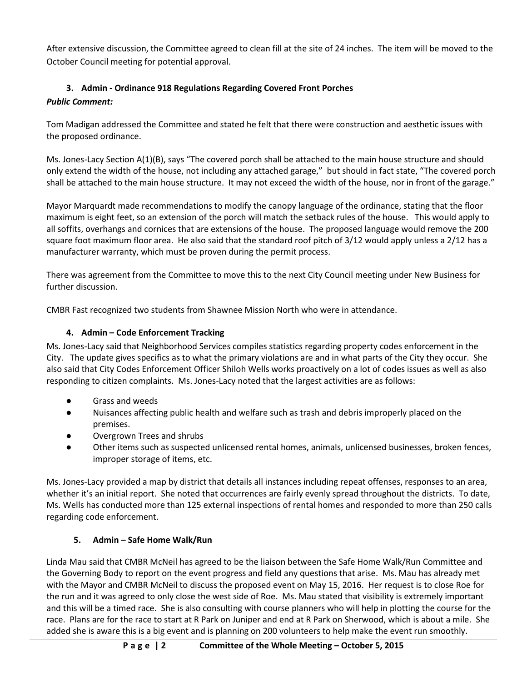After extensive discussion, the Committee agreed to clean fill at the site of 24 inches. The item will be moved to the October Council meeting for potential approval.

# **3. Admin - Ordinance 918 Regulations Regarding Covered Front Porches**

# *Public Comment:*

Tom Madigan addressed the Committee and stated he felt that there were construction and aesthetic issues with the proposed ordinance.

Ms. Jones-Lacy Section A(1)(B), says "The covered porch shall be attached to the main house structure and should only extend the width of the house, not including any attached garage," but should in fact state, "The covered porch shall be attached to the main house structure. It may not exceed the width of the house, nor in front of the garage."

Mayor Marquardt made recommendations to modify the canopy language of the ordinance, stating that the floor maximum is eight feet, so an extension of the porch will match the setback rules of the house. This would apply to all soffits, overhangs and cornices that are extensions of the house. The proposed language would remove the 200 square foot maximum floor area. He also said that the standard roof pitch of 3/12 would apply unless a 2/12 has a manufacturer warranty, which must be proven during the permit process.

There was agreement from the Committee to move this to the next City Council meeting under New Business for further discussion.

CMBR Fast recognized two students from Shawnee Mission North who were in attendance.

# **4. Admin – Code Enforcement Tracking**

Ms. Jones-Lacy said that Neighborhood Services compiles statistics regarding property codes enforcement in the City. The update gives specifics as to what the primary violations are and in what parts of the City they occur. She also said that City Codes Enforcement Officer Shiloh Wells works proactively on a lot of codes issues as well as also responding to citizen complaints. Ms. Jones-Lacy noted that the largest activities are as follows:

- Grass and weeds
- Nuisances affecting public health and welfare such as trash and debris improperly placed on the premises.
- Overgrown Trees and shrubs
- Other items such as suspected unlicensed rental homes, animals, unlicensed businesses, broken fences, improper storage of items, etc.

Ms. Jones-Lacy provided a map by district that details all instances including repeat offenses, responses to an area, whether it's an initial report. She noted that occurrences are fairly evenly spread throughout the districts. To date, Ms. Wells has conducted more than 125 external inspections of rental homes and responded to more than 250 calls regarding code enforcement.

# **5. Admin – Safe Home Walk/Run**

Linda Mau said that CMBR McNeil has agreed to be the liaison between the Safe Home Walk/Run Committee and the Governing Body to report on the event progress and field any questions that arise. Ms. Mau has already met with the Mayor and CMBR McNeil to discuss the proposed event on May 15, 2016. Her request is to close Roe for the run and it was agreed to only close the west side of Roe. Ms. Mau stated that visibility is extremely important and this will be a timed race. She is also consulting with course planners who will help in plotting the course for the race. Plans are for the race to start at R Park on Juniper and end at R Park on Sherwood, which is about a mile. She added she is aware this is a big event and is planning on 200 volunteers to help make the event run smoothly.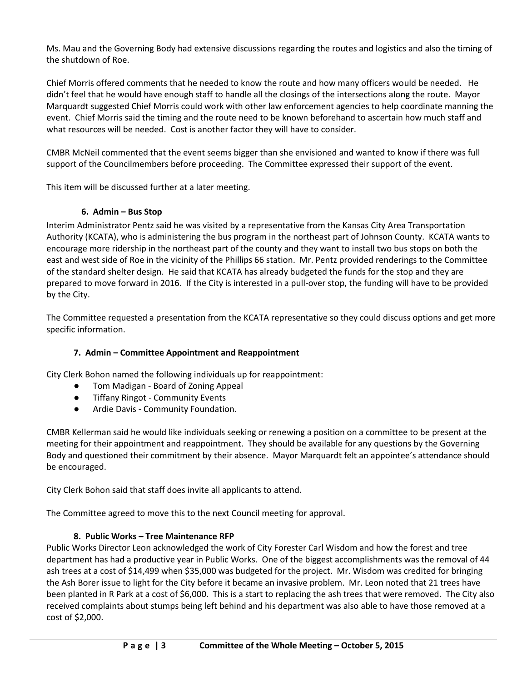Ms. Mau and the Governing Body had extensive discussions regarding the routes and logistics and also the timing of the shutdown of Roe.

Chief Morris offered comments that he needed to know the route and how many officers would be needed. He didn't feel that he would have enough staff to handle all the closings of the intersections along the route. Mayor Marquardt suggested Chief Morris could work with other law enforcement agencies to help coordinate manning the event. Chief Morris said the timing and the route need to be known beforehand to ascertain how much staff and what resources will be needed. Cost is another factor they will have to consider.

CMBR McNeil commented that the event seems bigger than she envisioned and wanted to know if there was full support of the Councilmembers before proceeding. The Committee expressed their support of the event.

This item will be discussed further at a later meeting.

### **6. Admin – Bus Stop**

Interim Administrator Pentz said he was visited by a representative from the Kansas City Area Transportation Authority (KCATA), who is administering the bus program in the northeast part of Johnson County. KCATA wants to encourage more ridership in the northeast part of the county and they want to install two bus stops on both the east and west side of Roe in the vicinity of the Phillips 66 station. Mr. Pentz provided renderings to the Committee of the standard shelter design. He said that KCATA has already budgeted the funds for the stop and they are prepared to move forward in 2016. If the City is interested in a pull-over stop, the funding will have to be provided by the City.

The Committee requested a presentation from the KCATA representative so they could discuss options and get more specific information.

## **7. Admin – Committee Appointment and Reappointment**

City Clerk Bohon named the following individuals up for reappointment:

- Tom Madigan Board of Zoning Appeal
- **Tiffany Ringot Community Events**
- Ardie Davis Community Foundation.

CMBR Kellerman said he would like individuals seeking or renewing a position on a committee to be present at the meeting for their appointment and reappointment. They should be available for any questions by the Governing Body and questioned their commitment by their absence. Mayor Marquardt felt an appointee's attendance should be encouraged.

City Clerk Bohon said that staff does invite all applicants to attend.

The Committee agreed to move this to the next Council meeting for approval.

### **8. Public Works – Tree Maintenance RFP**

Public Works Director Leon acknowledged the work of City Forester Carl Wisdom and how the forest and tree department has had a productive year in Public Works. One of the biggest accomplishments was the removal of 44 ash trees at a cost of \$14,499 when \$35,000 was budgeted for the project. Mr. Wisdom was credited for bringing the Ash Borer issue to light for the City before it became an invasive problem. Mr. Leon noted that 21 trees have been planted in R Park at a cost of \$6,000. This is a start to replacing the ash trees that were removed. The City also received complaints about stumps being left behind and his department was also able to have those removed at a cost of \$2,000.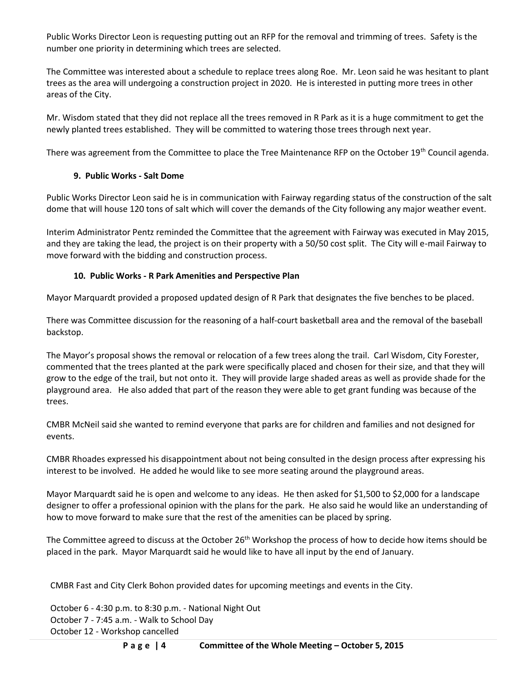Public Works Director Leon is requesting putting out an RFP for the removal and trimming of trees. Safety is the number one priority in determining which trees are selected.

The Committee was interested about a schedule to replace trees along Roe. Mr. Leon said he was hesitant to plant trees as the area will undergoing a construction project in 2020. He is interested in putting more trees in other areas of the City.

Mr. Wisdom stated that they did not replace all the trees removed in R Park as it is a huge commitment to get the newly planted trees established. They will be committed to watering those trees through next year.

There was agreement from the Committee to place the Tree Maintenance RFP on the October 19<sup>th</sup> Council agenda.

## **9. Public Works - Salt Dome**

Public Works Director Leon said he is in communication with Fairway regarding status of the construction of the salt dome that will house 120 tons of salt which will cover the demands of the City following any major weather event.

Interim Administrator Pentz reminded the Committee that the agreement with Fairway was executed in May 2015, and they are taking the lead, the project is on their property with a 50/50 cost split. The City will e-mail Fairway to move forward with the bidding and construction process.

## **10. Public Works - R Park Amenities and Perspective Plan**

Mayor Marquardt provided a proposed updated design of R Park that designates the five benches to be placed.

There was Committee discussion for the reasoning of a half-court basketball area and the removal of the baseball backstop.

The Mayor's proposal shows the removal or relocation of a few trees along the trail. Carl Wisdom, City Forester, commented that the trees planted at the park were specifically placed and chosen for their size, and that they will grow to the edge of the trail, but not onto it. They will provide large shaded areas as well as provide shade for the playground area. He also added that part of the reason they were able to get grant funding was because of the trees.

CMBR McNeil said she wanted to remind everyone that parks are for children and families and not designed for events.

CMBR Rhoades expressed his disappointment about not being consulted in the design process after expressing his interest to be involved. He added he would like to see more seating around the playground areas.

Mayor Marquardt said he is open and welcome to any ideas. He then asked for \$1,500 to \$2,000 for a landscape designer to offer a professional opinion with the plans for the park. He also said he would like an understanding of how to move forward to make sure that the rest of the amenities can be placed by spring.

The Committee agreed to discuss at the October 26<sup>th</sup> Workshop the process of how to decide how items should be placed in the park. Mayor Marquardt said he would like to have all input by the end of January.

CMBR Fast and City Clerk Bohon provided dates for upcoming meetings and events in the City.

October 6 - 4:30 p.m. to 8:30 p.m. - National Night Out October 7 - 7:45 a.m. - Walk to School Day October 12 - Workshop cancelled